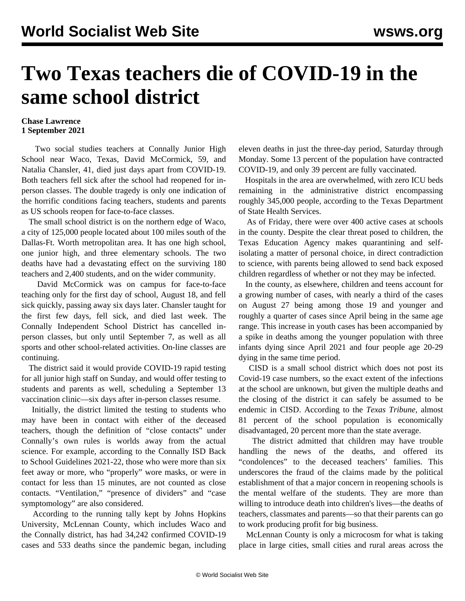## **Two Texas teachers die of COVID-19 in the same school district**

## **Chase Lawrence 1 September 2021**

 Two social studies teachers at Connally Junior High School near Waco, Texas, David McCormick, 59, and Natalia Chansler, 41, died just days apart from COVID-19. Both teachers fell sick after the school had reopened for inperson classes. The double tragedy is only one indication of the horrific conditions facing teachers, students and parents as US schools reopen for face-to-face classes.

 The small school district is on the northern edge of Waco, a city of 125,000 people located about 100 miles south of the Dallas-Ft. Worth metropolitan area. It has one high school, one junior high, and three elementary schools. The two deaths have had a devastating effect on the surviving 180 teachers and 2,400 students, and on the wider community.

 David McCormick was on campus for face-to-face teaching only for the first day of school, August 18, and fell sick quickly, passing away six days later. Chansler taught for the first few days, fell sick, and died last week. The Connally Independent School District has cancelled inperson classes, but only until September 7, as well as all sports and other school-related activities. On-line classes are continuing.

 The district said it would provide COVID-19 rapid testing for all junior high staff on Sunday, and would offer testing to students and parents as well, scheduling a September 13 vaccination clinic—six days after in-person classes resume.

 Initially, the district limited the testing to students who may have been in contact with either of the deceased teachers, though the definition of "close contacts" under Connally's own rules is worlds away from the actual science. For example, according to the Connally ISD Back to School Guidelines 2021-22, those who were more than six feet away or more, who "properly" wore masks, or were in contact for less than 15 minutes, are not counted as close contacts. "Ventilation," "presence of dividers" and "case symptomology" are also considered.

 According to the running tally kept by Johns Hopkins University, McLennan County, which includes Waco and the Connally district, has had 34,242 confirmed COVID-19 cases and 533 deaths since the pandemic began, including eleven deaths in just the three-day period, Saturday through Monday. Some 13 percent of the population have contracted COVID-19, and only 39 percent are fully vaccinated.

 Hospitals in the area are overwhelmed, with zero ICU beds remaining in the administrative district encompassing roughly 345,000 people, according to the Texas Department of State Health Services.

 As of Friday, there were over 400 active cases at schools in the county. Despite the clear threat posed to children, the Texas Education Agency makes quarantining and selfisolating a matter of personal choice, in direct contradiction to science, with parents being allowed to send back exposed children regardless of whether or not they may be infected.

 In the county, as elsewhere, children and teens account for a growing number of cases, with nearly a third of the cases on August 27 being among those 19 and younger and roughly a quarter of cases since April being in the same age range. This increase in youth cases has been accompanied by a spike in deaths among the younger population with three infants dying since April 2021 and four people age 20-29 dying in the same time period.

 CISD is a small school district which does not post its Covid-19 case numbers, so the exact extent of the infections at the school are unknown, but given the multiple deaths and the closing of the district it can safely be assumed to be endemic in CISD. According to the *Texas Tribune*, almost 81 percent of the school population is economically disadvantaged, 20 percent more than the state average.

 The district admitted that children may have trouble handling the news of the deaths, and offered its "condolences" to the deceased teachers' families. This underscores the fraud of the claims made by the political establishment of that a major concern in reopening schools is the mental welfare of the students. They are more than willing to introduce death into children's lives—the deaths of teachers, classmates and parents—so that their parents can go to work producing profit for big business.

 McLennan County is only a microcosm for what is taking place in large cities, small cities and rural areas across the